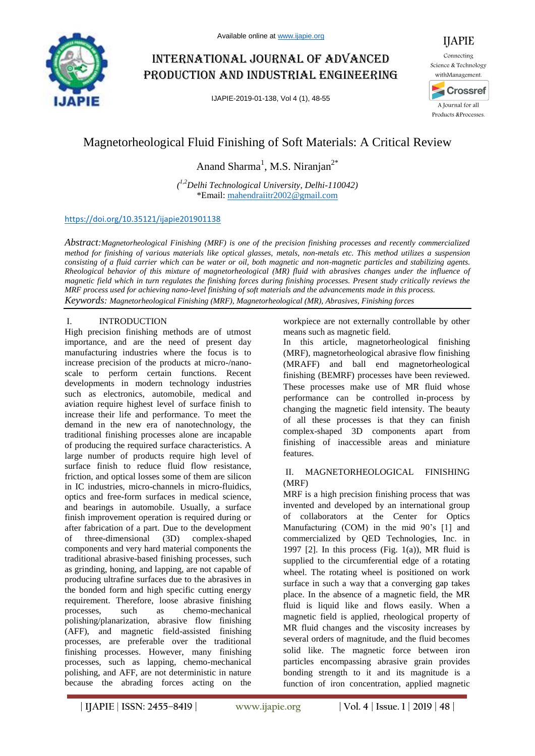

# International journal of advanced production and industrial engineering

IJAPIE-2019-01-138, Vol 4 (1), 48-55



# Magnetorheological Fluid Finishing of Soft Materials: A Critical Review

Anand Sharma<sup>1</sup>, M.S. Niranjan<sup>2\*</sup>

*( 1,2Delhi Technological University, Delhi-110042)* \*Email: mahendraiitr2002@gmail.com

# https://doi.org/10.35121/ijapie201901138

*Abstract:Magnetorheological Finishing (MRF) is one of the precision finishing processes and recently commercialized method for finishing of various materials like optical glasses, metals, non-metals etc. This method utilizes a suspension consisting of a fluid carrier which can be water or oil, both magnetic and non-magnetic particles and stabilizing agents. Rheological behavior of this mixture of magnetorheological (MR) fluid with abrasives changes under the influence of magnetic field which in turn regulates the finishing forces during finishing processes. Present study critically reviews the MRF process used for achieving nano-level finishing of soft materials and the advancements made in this process. Keywords: Magnetorheological Finishing (MRF), Magnetorheological (MR), Abrasives, Finishing forces*

## I. INTRODUCTION

High precision finishing methods are of utmost importance, and are the need of present day manufacturing industries where the focus is to increase precision of the products at micro-/nanoscale to perform certain functions. Recent developments in modern technology industries such as electronics, automobile, medical and aviation require highest level of surface finish to increase their life and performance. To meet the demand in the new era of nanotechnology, the traditional finishing processes alone are incapable of producing the required surface characteristics. A large number of products require high level of surface finish to reduce fluid flow resistance, friction, and optical losses some of them are silicon in IC industries, micro-channels in micro-fluidics, optics and free-form surfaces in medical science, and bearings in automobile. Usually, a surface finish improvement operation is required during or after fabrication of a part. Due to the development of three-dimensional (3D) complex-shaped components and very hard material components the traditional abrasive-based finishing processes, such as grinding, honing, and lapping, are not capable of producing ultrafine surfaces due to the abrasives in the bonded form and high specific cutting energy requirement. Therefore, loose abrasive finishing processes, such as chemo-mechanical polishing/planarization, abrasive flow finishing (AFF), and magnetic field-assisted finishing processes, are preferable over the traditional finishing processes. However, many finishing processes, such as lapping, chemo-mechanical polishing, and AFF, are not deterministic in nature because the abrading forces acting on the

workpiece are not externally controllable by other means such as magnetic field.

In this article, magnetorheological finishing (MRF), magnetorheological abrasive flow finishing (MRAFF) and ball end magnetorheological finishing (BEMRF) processes have been reviewed. These processes make use of MR fluid whose performance can be controlled in-process by changing the magnetic field intensity. The beauty of all these processes is that they can finish complex-shaped 3D components apart from finishing of inaccessible areas and miniature features.

### II. MAGNETORHEOLOGICAL FINISHING (MRF)

MRF is a high precision finishing process that was invented and developed by an international group of collaborators at the Center for Optics Manufacturing (COM) in the mid 90's [1] and commercialized by QED Technologies, Inc. in 1997 [2]. In this process (Fig. 1(a)), MR fluid is supplied to the circumferential edge of a rotating wheel. The rotating wheel is positioned on work surface in such a way that a converging gap takes place. In the absence of a magnetic field, the MR fluid is liquid like and flows easily. When a magnetic field is applied, rheological property of MR fluid changes and the viscosity increases by several orders of magnitude, and the fluid becomes solid like. The magnetic force between iron particles encompassing abrasive grain provides bonding strength to it and its magnitude is a function of iron concentration, applied magnetic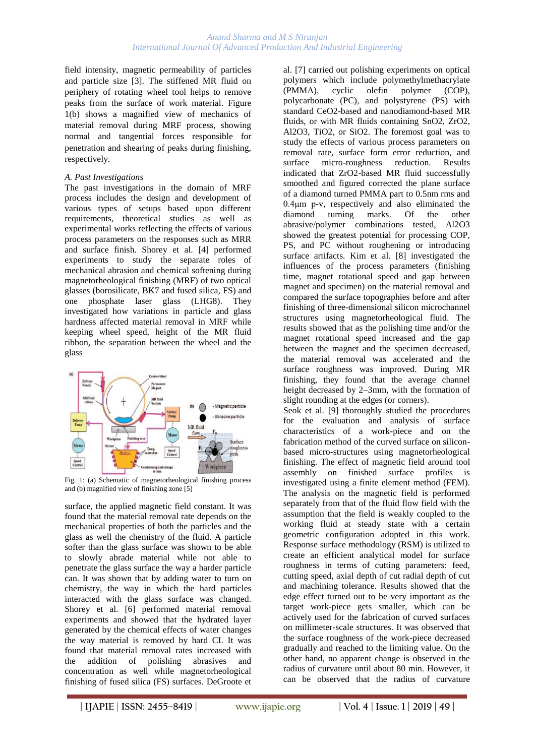field intensity, magnetic permeability of particles and particle size [3]. The stiffened MR fluid on periphery of rotating wheel tool helps to remove peaks from the surface of work material. Figure 1(b) shows a magnified view of mechanics of material removal during MRF process, showing normal and tangential forces responsible for penetration and shearing of peaks during finishing, respectively.

### *A. Past Investigations*

The past investigations in the domain of MRF process includes the design and development of various types of setups based upon different requirements, theoretical studies as well as experimental works reflecting the effects of various process parameters on the responses such as MRR and surface finish. Shorey et al. [4] performed experiments to study the separate roles of mechanical abrasion and chemical softening during magnetorheological finishing (MRF) of two optical glasses (borosilicate, BK7 and fused silica, FS) and one phosphate laser glass (LHG8). They investigated how variations in particle and glass hardness affected material removal in MRF while keeping wheel speed, height of the MR fluid ribbon, the separation between the wheel and the glass



Fig. 1: (a) Schematic of magnetorheological finishing process and (b) magnified view of finishing zone [5]

surface, the applied magnetic field constant. It was found that the material removal rate depends on the mechanical properties of both the particles and the glass as well the chemistry of the fluid. A particle softer than the glass surface was shown to be able to slowly abrade material while not able to penetrate the glass surface the way a harder particle can. It was shown that by adding water to turn on chemistry, the way in which the hard particles interacted with the glass surface was changed. Shorey et al. [6] performed material removal experiments and showed that the hydrated layer generated by the chemical effects of water changes the way material is removed by hard CI. It was found that material removal rates increased with the addition of polishing abrasives and concentration as well while magnetorheological finishing of fused silica (FS) surfaces. DeGroote et

al. [7] carried out polishing experiments on optical polymers which include polymethylmethacrylate (PMMA), cyclic olefin polymer (COP), polycarbonate (PC), and polystyrene (PS) with standard CeO2-based and nanodiamond-based MR fluids, or with MR fluids containing SnO2, ZrO2, Al2O3, TiO2, or SiO2. The foremost goal was to study the effects of various process parameters on removal rate, surface form error reduction, and surface micro-roughness reduction. Results indicated that ZrO2-based MR fluid successfully smoothed and figured corrected the plane surface of a diamond turned PMMA part to 0.5nm rms and 0.4μm p-v, respectively and also eliminated the diamond turning marks. Of the other abrasive/polymer combinations tested, Al2O3 showed the greatest potential for processing COP, PS, and PC without roughening or introducing surface artifacts. Kim et al. [8] investigated the influences of the process parameters (finishing time, magnet rotational speed and gap between magnet and specimen) on the material removal and compared the surface topographies before and after finishing of three-dimensional silicon microchannel structures using magnetorheological fluid. The results showed that as the polishing time and/or the magnet rotational speed increased and the gap between the magnet and the specimen decreased, the material removal was accelerated and the surface roughness was improved. During MR finishing, they found that the average channel height decreased by 2–3mm, with the formation of slight rounding at the edges (or corners).

Seok et al. [9] thoroughly studied the procedures for the evaluation and analysis of surface characteristics of a work-piece and on the fabrication method of the curved surface on siliconbased micro-structures using magnetorheological finishing. The effect of magnetic field around tool assembly on finished surface profiles is investigated using a finite element method (FEM). The analysis on the magnetic field is performed separately from that of the fluid flow field with the assumption that the field is weakly coupled to the working fluid at steady state with a certain geometric configuration adopted in this work. Response surface methodology (RSM) is utilized to create an efficient analytical model for surface roughness in terms of cutting parameters: feed, cutting speed, axial depth of cut radial depth of cut and machining tolerance. Results showed that the edge effect turned out to be very important as the target work-piece gets smaller, which can be actively used for the fabrication of curved surfaces on millimeter-scale structures. It was observed that the surface roughness of the work-piece decreased gradually and reached to the limiting value. On the other hand, no apparent change is observed in the radius of curvature until about 80 min. However, it can be observed that the radius of curvature

**| IJAPIE** | **ISSN: 2455–8419 | www.ijapie.org | Vol. 4 | Issue. 1 | 2019 | 49 |**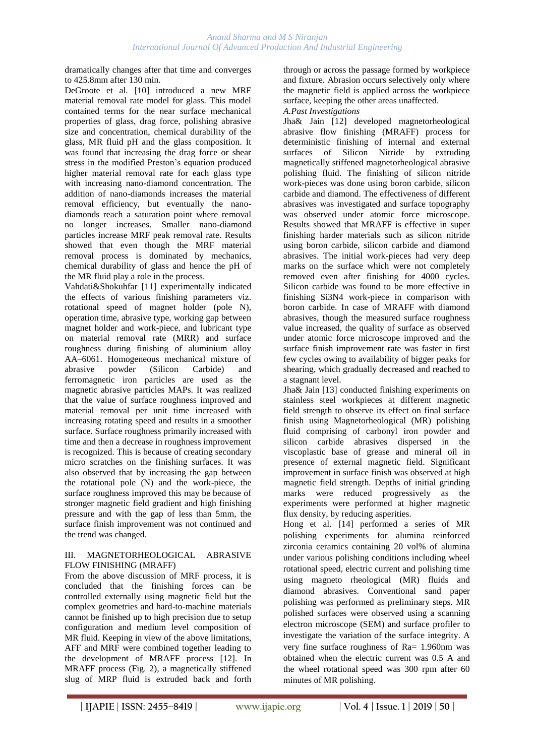dramatically changes after that time and converges to 425.8mm after 130 min.

DeGroote et al. [10] introduced a new MRF material removal rate model for glass. This model contained terms for the near surface mechanical properties of glass, drag force, polishing abrasive size and concentration, chemical durability of the glass, MR fluid pH and the glass composition. It was found that increasing the drag force or shear stress in the modified Preston's equation produced higher material removal rate for each glass type with increasing nano-diamond concentration. The addition of nano-diamonds increases the material removal efficiency, but eventually the nanodiamonds reach a saturation point where removal no longer increases. Smaller nano-diamond particles increase MRF peak removal rate. Results showed that even though the MRF material removal process is dominated by mechanics, chemical durability of glass and hence the pH of the MR fluid play a role in the process.

Vahdati&Shokuhfar [11] experimentally indicated the effects of various finishing parameters viz. rotational speed of magnet holder (pole N), operation time, abrasive type, working gap between magnet holder and work-piece, and lubricant type on material removal rate (MRR) and surface roughness during finishing of aluminium alloy AA–6061. Homogeneous mechanical mixture of abrasive powder (Silicon Carbide) and ferromagnetic iron particles are used as the magnetic abrasive particles MAPs. It was realized that the value of surface roughness improved and material removal per unit time increased with increasing rotating speed and results in a smoother surface. Surface roughness primarily increased with time and then a decrease in roughness improvement is recognized. This is because of creating secondary micro scratches on the finishing surfaces. It was also observed that by increasing the gap between the rotational pole (N) and the work-piece, the surface roughness improved this may be because of stronger magnetic field gradient and high finishing pressure and with the gap of less than 5mm, the surface finish improvement was not continued and the trend was changed.

### III. MAGNETORHEOLOGICAL ABRASIVE FLOW FINISHING (MRAFF)

From the above discussion of MRF process, it is concluded that the finishing forces can be controlled externally using magnetic field but the complex geometries and hard-to-machine materials cannot be finished up to high precision due to setup configuration and medium level composition of MR fluid. Keeping in view of the above limitations, AFF and MRF were combined together leading to the development of MRAFF process [12]. In MRAFF process (Fig. 2), a magnetically stiffened slug of MRP fluid is extruded back and forth

through or across the passage formed by workpiece and fixture. Abrasion occurs selectively only where the magnetic field is applied across the workpiece surface, keeping the other areas unaffected.

*A.Past Investigations* 

Jha& Jain [12] developed magnetorheological abrasive flow finishing (MRAFF) process for deterministic finishing of internal and external surfaces of Silicon Nitride by extruding magnetically stiffened magnetorheological abrasive polishing fluid. The finishing of silicon nitride work-pieces was done using boron carbide, silicon carbide and diamond. The effectiveness of different abrasives was investigated and surface topography was observed under atomic force microscope. Results showed that MRAFF is effective in super finishing harder materials such as silicon nitride using boron carbide, silicon carbide and diamond abrasives. The initial work-pieces had very deep marks on the surface which were not completely removed even after finishing for 4000 cycles. Silicon carbide was found to be more effective in finishing Si3N4 work-piece in comparison with boron carbide. In case of MRAFF with diamond abrasives, though the measured surface roughness value increased, the quality of surface as observed under atomic force microscope improved and the surface finish improvement rate was faster in first few cycles owing to availability of bigger peaks for shearing, which gradually decreased and reached to a stagnant level.

Jha& Jain [13] conducted finishing experiments on stainless steel workpieces at different magnetic field strength to observe its effect on final surface finish using Magnetorheological (MR) polishing fluid comprising of carbonyl iron powder and silicon carbide abrasives dispersed in the viscoplastic base of grease and mineral oil in presence of external magnetic field. Significant improvement in surface finish was observed at high magnetic field strength. Depths of initial grinding marks were reduced progressively as the experiments were performed at higher magnetic flux density, by reducing asperities.

Hong et al. [14] performed a series of MR polishing experiments for alumina reinforced zirconia ceramics containing 20 vol% of alumina under various polishing conditions including wheel rotational speed, electric current and polishing time using magneto rheological (MR) fluids and diamond abrasives. Conventional sand paper polishing was performed as preliminary steps. MR polished surfaces were observed using a scanning electron microscope (SEM) and surface profiler to investigate the variation of the surface integrity. A very fine surface roughness of Ra= 1.960nm was obtained when the electric current was 0.5 A and the wheel rotational speed was 300 rpm after 60 minutes of MR polishing.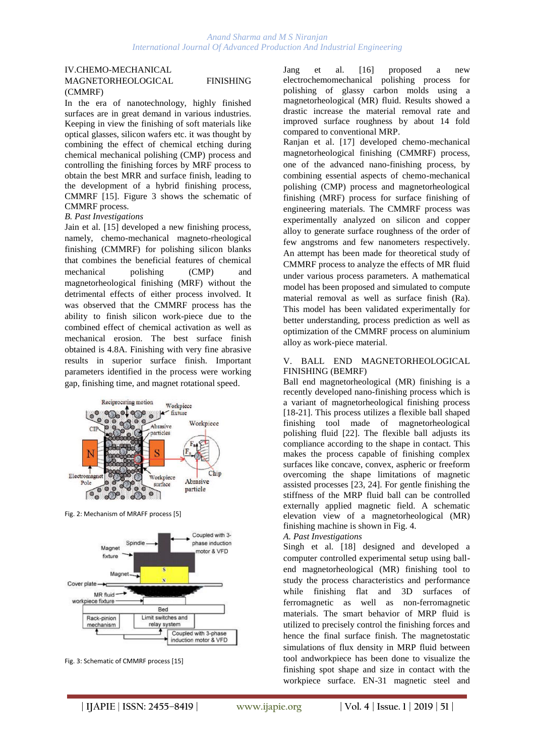### IV.CHEMO-MECHANICAL MAGNETORHEOLOGICAL FINISHING (CMMRF)

In the era of nanotechnology, highly finished surfaces are in great demand in various industries. Keeping in view the finishing of soft materials like optical glasses, silicon wafers etc. it was thought by combining the effect of chemical etching during chemical mechanical polishing (CMP) process and controlling the finishing forces by MRF process to obtain the best MRR and surface finish, leading to the development of a hybrid finishing process, CMMRF [15]. Figure 3 shows the schematic of CMMRF process.

### *B. Past Investigations*

Jain et al. [15] developed a new finishing process, namely, chemo-mechanical magneto-rheological finishing (CMMRF) for polishing silicon blanks that combines the beneficial features of chemical mechanical polishing (CMP) and magnetorheological finishing (MRF) without the detrimental effects of either process involved. It was observed that the CMMRF process has the ability to finish silicon work-piece due to the combined effect of chemical activation as well as mechanical erosion. The best surface finish obtained is 4.8A. Finishing with very fine abrasive results in superior surface finish. Important parameters identified in the process were working gap, finishing time, and magnet rotational speed.



Fig. 2: Mechanism of MRAFF process [5]



Fig. 3: Schematic of CMMRF process [15]

Jang et al. [16] proposed a new electrochemomechanical polishing process for polishing of glassy carbon molds using a magnetorheological (MR) fluid. Results showed a drastic increase the material removal rate and improved surface roughness by about 14 fold compared to conventional MRP.

Ranjan et al. [17] developed chemo-mechanical magnetorheological finishing (CMMRF) process, one of the advanced nano-finishing process, by combining essential aspects of chemo-mechanical polishing (CMP) process and magnetorheological finishing (MRF) process for surface finishing of engineering materials. The CMMRF process was experimentally analyzed on silicon and copper alloy to generate surface roughness of the order of few angstroms and few nanometers respectively. An attempt has been made for theoretical study of CMMRF process to analyze the effects of MR fluid under various process parameters. A mathematical model has been proposed and simulated to compute material removal as well as surface finish (Ra). This model has been validated experimentally for better understanding, process prediction as well as optimization of the CMMRF process on aluminium alloy as work-piece material.

### V. BALL END MAGNETORHEOLOGICAL FINISHING (BEMRF)

Ball end magnetorheological (MR) finishing is a recently developed nano-finishing process which is a variant of magnetorheological finishing process [18-21]. This process utilizes a flexible ball shaped finishing tool made of magnetorheological polishing fluid [22]. The flexible ball adjusts its compliance according to the shape in contact. This makes the process capable of finishing complex surfaces like concave, convex, aspheric or freeform overcoming the shape limitations of magnetic assisted processes [23, 24]. For gentle finishing the stiffness of the MRP fluid ball can be controlled externally applied magnetic field. A schematic elevation view of a magnetorheological (MR) finishing machine is shown in Fig. 4.

### *A. Past Investigations*

Singh et al. [18] designed and developed a computer controlled experimental setup using ballend magnetorheological (MR) finishing tool to study the process characteristics and performance while finishing flat and 3D surfaces of ferromagnetic as well as non-ferromagnetic materials. The smart behavior of MRP fluid is utilized to precisely control the finishing forces and hence the final surface finish. The magnetostatic simulations of flux density in MRP fluid between tool andworkpiece has been done to visualize the finishing spot shape and size in contact with the workpiece surface. EN-31 magnetic steel and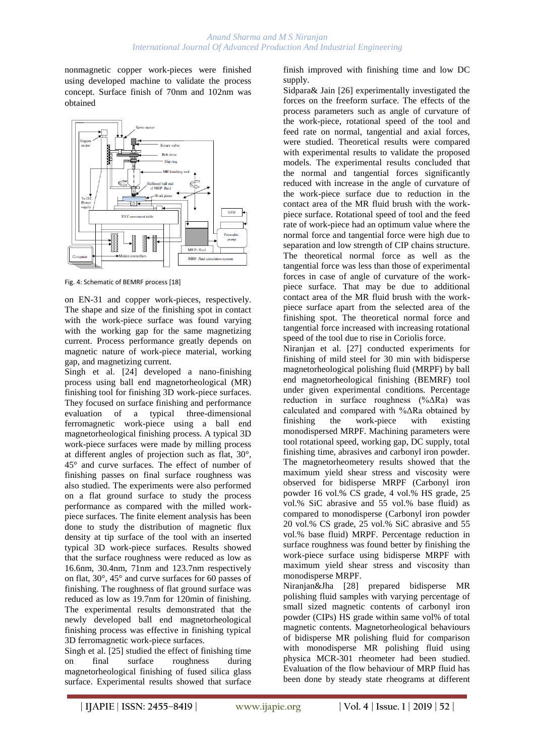nonmagnetic copper work-pieces were finished using developed machine to validate the process concept. Surface finish of 70nm and 102nm was obtained



Fig. 4: Schematic of BEMRF process [18]

on EN-31 and copper work-pieces, respectively. The shape and size of the finishing spot in contact with the work-piece surface was found varying with the working gap for the same magnetizing current. Process performance greatly depends on magnetic nature of work-piece material, working gap, and magnetizing current.

Singh et al. [24] developed a nano-finishing process using ball end magnetorheological (MR) finishing tool for finishing 3D work-piece surfaces. They focused on surface finishing and performance evaluation of a typical three-dimensional ferromagnetic work-piece using a ball end magnetorheological finishing process. A typical 3D work-piece surfaces were made by milling process at different angles of projection such as flat, 30°, 45° and curve surfaces. The effect of number of finishing passes on final surface roughness was also studied. The experiments were also performed on a flat ground surface to study the process performance as compared with the milled workpiece surfaces. The finite element analysis has been done to study the distribution of magnetic flux density at tip surface of the tool with an inserted typical 3D work-piece surfaces. Results showed that the surface roughness were reduced as low as 16.6nm, 30.4nm, 71nm and 123.7nm respectively on flat, 30°, 45° and curve surfaces for 60 passes of finishing. The roughness of flat ground surface was reduced as low as 19.7nm for 120min of finishing. The experimental results demonstrated that the newly developed ball end magnetorheological finishing process was effective in finishing typical 3D ferromagnetic work-piece surfaces.

Singh et al. [25] studied the effect of finishing time on final surface roughness during magnetorheological finishing of fused silica glass surface. Experimental results showed that surface

finish improved with finishing time and low DC supply.

Sidpara& Jain [26] experimentally investigated the forces on the freeform surface. The effects of the process parameters such as angle of curvature of the work-piece, rotational speed of the tool and feed rate on normal, tangential and axial forces, were studied. Theoretical results were compared with experimental results to validate the proposed models. The experimental results concluded that the normal and tangential forces significantly reduced with increase in the angle of curvature of the work-piece surface due to reduction in the contact area of the MR fluid brush with the workpiece surface. Rotational speed of tool and the feed rate of work-piece had an optimum value where the normal force and tangential force were high due to separation and low strength of CIP chains structure. The theoretical normal force as well as the tangential force was less than those of experimental forces in case of angle of curvature of the workpiece surface. That may be due to additional contact area of the MR fluid brush with the workpiece surface apart from the selected area of the finishing spot. The theoretical normal force and tangential force increased with increasing rotational speed of the tool due to rise in Coriolis force.

Niranjan et al. [27] conducted experiments for finishing of mild steel for 30 min with bidisperse magnetorheological polishing fluid (MRPF) by ball end magnetorheological finishing (BEMRF) tool under given experimental conditions. Percentage reduction in surface roughness (%ΔRa) was calculated and compared with %ΔRa obtained by finishing the work-piece with existing monodispersed MRPF. Machining parameters were tool rotational speed, working gap, DC supply, total finishing time, abrasives and carbonyl iron powder. The magnetorheometery results showed that the maximum yield shear stress and viscosity were observed for bidisperse MRPF (Carbonyl iron powder 16 vol.% CS grade, 4 vol.% HS grade, 25 vol.% SiC abrasive and 55 vol.% base fluid) as compared to monodisperse (Carbonyl iron powder 20 vol.% CS grade, 25 vol.% SiC abrasive and 55 vol.% base fluid) MRPF. Percentage reduction in surface roughness was found better by finishing the work-piece surface using bidisperse MRPF with maximum yield shear stress and viscosity than monodisperse MRPF.

Niranjan&Jha [28] prepared bidisperse MR polishing fluid samples with varying percentage of small sized magnetic contents of carbonyl iron powder (CIPs) HS grade within same vol% of total magnetic contents. Magnetorheological behaviours of bidisperse MR polishing fluid for comparison with monodisperse MR polishing fluid using physica MCR-301 rheometer had been studied. Evaluation of the flow behaviour of MRP fluid has been done by steady state rheograms at different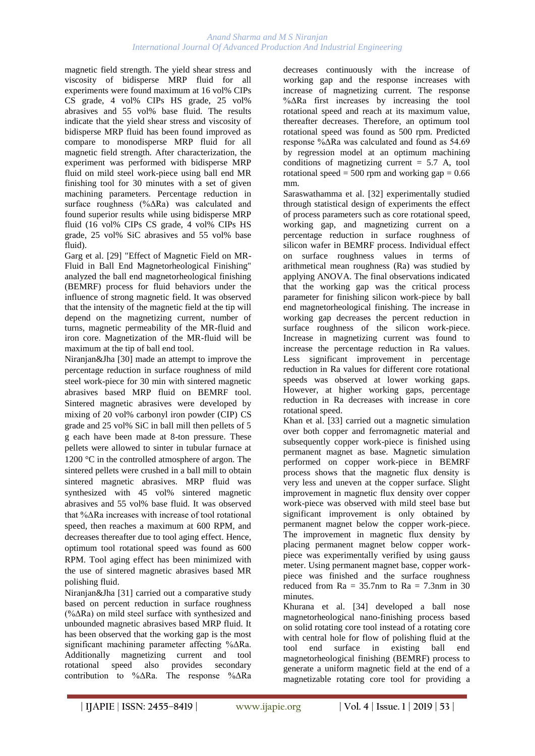### *Anand Sharma and M S Niranjan International Journal Of Advanced Production And Industrial Engineering*

magnetic field strength. The yield shear stress and viscosity of bidisperse MRP fluid for all experiments were found maximum at 16 vol% CIPs CS grade, 4 vol% CIPs HS grade, 25 vol% abrasives and 55 vol% base fluid. The results indicate that the yield shear stress and viscosity of bidisperse MRP fluid has been found improved as compare to monodisperse MRP fluid for all magnetic field strength. After characterization, the experiment was performed with bidisperse MRP fluid on mild steel work-piece using ball end MR finishing tool for 30 minutes with a set of given machining parameters. Percentage reduction in surface roughness (%ΔRa) was calculated and found superior results while using bidisperse MRP fluid (16 vol% CIPs CS grade, 4 vol% CIPs HS grade, 25 vol% SiC abrasives and 55 vol% base fluid).

Garg et al. [29] "Effect of Magnetic Field on MR-Fluid in Ball End Magnetorheological Finishing" analyzed the ball end magnetorheological finishing (BEMRF) process for fluid behaviors under the influence of strong magnetic field. It was observed that the intensity of the magnetic field at the tip will depend on the magnetizing current, number of turns, magnetic permeability of the MR-fluid and iron core. Magnetization of the MR-fluid will be maximum at the tip of ball end tool.

Niranjan&Jha [30] made an attempt to improve the percentage reduction in surface roughness of mild steel work-piece for 30 min with sintered magnetic abrasives based MRP fluid on BEMRF tool. Sintered magnetic abrasives were developed by mixing of 20 vol% carbonyl iron powder (CIP) CS grade and 25 vol% SiC in ball mill then pellets of 5 g each have been made at 8-ton pressure. These pellets were allowed to sinter in tubular furnace at 1200 °C in the controlled atmosphere of argon. The sintered pellets were crushed in a ball mill to obtain sintered magnetic abrasives. MRP fluid was synthesized with 45 vol% sintered magnetic abrasives and 55 vol% base fluid. It was observed that %ΔRa increases with increase of tool rotational speed, then reaches a maximum at 600 RPM, and decreases thereafter due to tool aging effect. Hence, optimum tool rotational speed was found as 600 RPM. Tool aging effect has been minimized with the use of sintered magnetic abrasives based MR polishing fluid.

Niranjan&Jha [31] carried out a comparative study based on percent reduction in surface roughness (%ΔRa) on mild steel surface with synthesized and unbounded magnetic abrasives based MRP fluid. It has been observed that the working gap is the most significant machining parameter affecting %ΔRa. Additionally magnetizing current and tool rotational speed also provides secondary contribution to %ΔRa. The response %ΔRa

decreases continuously with the increase of working gap and the response increases with increase of magnetizing current. The response %ΔRa first increases by increasing the tool rotational speed and reach at its maximum value, thereafter decreases. Therefore, an optimum tool rotational speed was found as 500 rpm. Predicted response %ΔRa was calculated and found as 54.69 by regression model at an optimum machining conditions of magnetizing current  $= 5.7$  A, tool rotational speed = 500 rpm and working gap =  $0.66$ mm.

Saraswathamma et al. [32] experimentally studied through statistical design of experiments the effect of process parameters such as core rotational speed, working gap, and magnetizing current on a percentage reduction in surface roughness of silicon wafer in BEMRF process. Individual effect on surface roughness values in terms of arithmetical mean roughness (Ra) was studied by applying ANOVA. The final observations indicated that the working gap was the critical process parameter for finishing silicon work-piece by ball end magnetorheological finishing. The increase in working gap decreases the percent reduction in surface roughness of the silicon work-piece. Increase in magnetizing current was found to increase the percentage reduction in Ra values. Less significant improvement in percentage reduction in Ra values for different core rotational speeds was observed at lower working gaps. However, at higher working gaps, percentage reduction in Ra decreases with increase in core rotational speed.

Khan et al. [33] carried out a magnetic simulation over both copper and ferromagnetic material and subsequently copper work-piece is finished using permanent magnet as base. Magnetic simulation performed on copper work-piece in BEMRF process shows that the magnetic flux density is very less and uneven at the copper surface. Slight improvement in magnetic flux density over copper work-piece was observed with mild steel base but significant improvement is only obtained by permanent magnet below the copper work-piece. The improvement in magnetic flux density by placing permanent magnet below copper workpiece was experimentally verified by using gauss meter. Using permanent magnet base, copper workpiece was finished and the surface roughness reduced from  $Ra = 35.7$ nm to  $Ra = 7.3$ nm in 30 minutes.

Khurana et al. [34] developed a ball nose magnetorheological nano-finishing process based on solid rotating core tool instead of a rotating core with central hole for flow of polishing fluid at the tool end surface in existing ball end magnetorheological finishing (BEMRF) process to generate a uniform magnetic field at the end of a magnetizable rotating core tool for providing a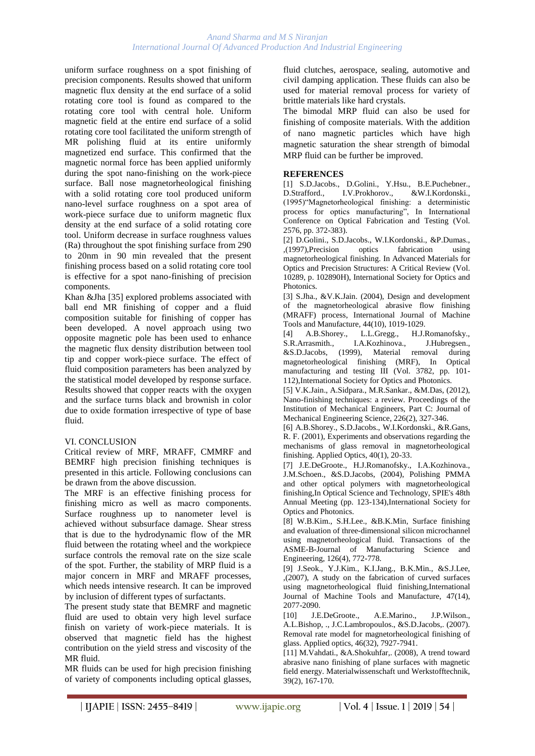### *Anand Sharma and M S Niranjan International Journal Of Advanced Production And Industrial Engineering*

uniform surface roughness on a spot finishing of precision components. Results showed that uniform magnetic flux density at the end surface of a solid rotating core tool is found as compared to the rotating core tool with central hole. Uniform magnetic field at the entire end surface of a solid rotating core tool facilitated the uniform strength of MR polishing fluid at its entire uniformly magnetized end surface. This confirmed that the magnetic normal force has been applied uniformly during the spot nano-finishing on the work-piece surface. Ball nose magnetorheological finishing with a solid rotating core tool produced uniform nano-level surface roughness on a spot area of work-piece surface due to uniform magnetic flux density at the end surface of a solid rotating core tool. Uniform decrease in surface roughness values (Ra) throughout the spot finishing surface from 290 to 20nm in 90 min revealed that the present finishing process based on a solid rotating core tool is effective for a spot nano-finishing of precision components.

Khan &Jha [35] explored problems associated with ball end MR finishing of copper and a fluid composition suitable for finishing of copper has been developed. A novel approach using two opposite magnetic pole has been used to enhance the magnetic flux density distribution between tool tip and copper work-piece surface. The effect of fluid composition parameters has been analyzed by the statistical model developed by response surface. Results showed that copper reacts with the oxygen and the surface turns black and brownish in color due to oxide formation irrespective of type of base fluid.

## VI. CONCLUSION

Critical review of MRF, MRAFF, CMMRF and BEMRF high precision finishing techniques is presented in this article. Following conclusions can be drawn from the above discussion.

The MRF is an effective finishing process for finishing micro as well as macro components. Surface roughness up to nanometer level is achieved without subsurface damage. Shear stress that is due to the hydrodynamic flow of the MR fluid between the rotating wheel and the workpiece surface controls the removal rate on the size scale of the spot. Further, the stability of MRP fluid is a major concern in MRF and MRAFF processes, which needs intensive research. It can be improved by inclusion of different types of surfactants.

The present study state that BEMRF and magnetic fluid are used to obtain very high level surface finish on variety of work-piece materials. It is observed that magnetic field has the highest contribution on the yield stress and viscosity of the MR fluid.

MR fluids can be used for high precision finishing of variety of components including optical glasses, fluid clutches, aerospace, sealing, automotive and civil damping application. These fluids can also be used for material removal process for variety of brittle materials like hard crystals.

The bimodal MRP fluid can also be used for finishing of composite materials. With the addition of nano magnetic particles which have high magnetic saturation the shear strength of bimodal MRP fluid can be further be improved.

### **REFERENCES**

[1] S.D.Jacobs., D.Golini., Y.Hsu., B.E.Puchebner., D.Strafford., I.V.Prokhorov., &W.I.Kordonski., (1995)"Magnetorheological finishing: a deterministic process for optics manufacturing", In International Conference on Optical Fabrication and Testing (Vol. 2576, pp. 372-383).

[2] D.Golini., S.D.Jacobs., W.I.Kordonski., &P.Dumas., ,(1997),Precision optics fabrication using magnetorheological finishing. In Advanced Materials for Optics and Precision Structures: A Critical Review (Vol. 10289, p. 102890H), International Society for Optics and Photonics.

[3] S.Jha., &V.K.Jain. (2004), Design and development of the magnetorheological abrasive flow finishing (MRAFF) process, International Journal of Machine Tools and Manufacture, 44(10), 1019-1029.

[4] A.B.Shorey., L.L.Gregg., H.J.Romanofsky., S.R.Arrasmith., I.A.Kozhinova., &S.D.Jacobs, (1999), Material removal during magnetorheological finishing (MRF), In Optical manufacturing and testing III (Vol.  $3782$ , pp. 101-112),International Society for Optics and Photonics.

[5] V.K.Jain., A.Sidpara., M.R.Sankar., &M.Das, (2012), Nano-finishing techniques: a review. Proceedings of the Institution of Mechanical Engineers, Part C: Journal of Mechanical Engineering Science, 226(2), 327-346.

[6] A.B.Shorey., S.D.Jacobs., W.I.Kordonski., &R.Gans, R. F. (2001), Experiments and observations regarding the mechanisms of glass removal in magnetorheological finishing. Applied Optics, 40(1), 20-33.

[7] J.E.DeGroote., H.J.Romanofsky., I.A.Kozhinova., J.M.Schoen., &S.D.Jacobs, (2004), Polishing PMMA and other optical polymers with magnetorheological finishing,In Optical Science and Technology, SPIE's 48th Annual Meeting (pp. 123-134),International Society for Optics and Photonics.

[8] W.B.Kim., S.H.Lee., &B.K.Min, Surface finishing and evaluation of three-dimensional silicon microchannel using magnetorheological fluid. Transactions of the ASME-B-Journal of Manufacturing Science and Engineering, 126(4), 772-778.

[9] J.Seok., Y.J.Kim., K.I.Jang., B.K.Min., &S.J.Lee, ,(2007), A study on the fabrication of curved surfaces using magnetorheological fluid finishing,International Journal of Machine Tools and Manufacture, 47(14), 2077-2090.

[10] J.E.DeGroote., A.E.Marino., J.P.Wilson., A.L.Bishop, ., J.C.Lambropoulos., &S.D.Jacobs,. (2007). Removal rate model for magnetorheological finishing of glass. Applied optics, 46(32), 7927-7941.

[11] M.Vahdati., &A.Shokuhfar,. (2008), A trend toward abrasive nano finishing of plane surfaces with magnetic field energy. Materialwissenschaft und Werkstofftechnik, 39(2), 167-170.